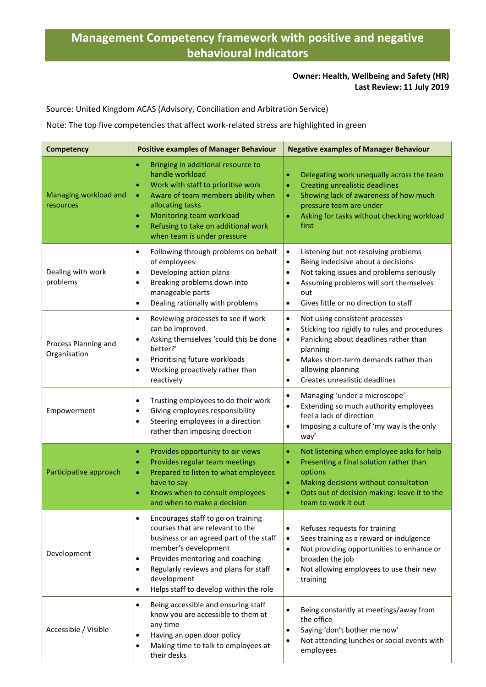## **Management Competency framework with positive and negative behavioural indicators**

## **Owner: Health, Wellbeing and Safety (HR) Last Review: 11 July 2019**

Source: United Kingdom ACAS (Advisory, Conciliation and Arbitration Service)

Note: The top five competencies that affect work-related stress are highlighted in green

| <b>Competency</b>                    | <b>Positive examples of Manager Behaviour</b>                                                                                                                                                                                                                                                                                      | <b>Negative examples of Manager Behaviour</b>                                                                                                                                                                                                                                         |  |
|--------------------------------------|------------------------------------------------------------------------------------------------------------------------------------------------------------------------------------------------------------------------------------------------------------------------------------------------------------------------------------|---------------------------------------------------------------------------------------------------------------------------------------------------------------------------------------------------------------------------------------------------------------------------------------|--|
| Managing workload and<br>resources   | Bringing in additional resource to<br>$\bullet$<br>handle workload<br>Work with staff to prioritise work<br>$\bullet$<br>Aware of team members ability when<br>$\bullet$<br>allocating tasks<br>Monitoring team workload<br>$\bullet$<br>Refusing to take on additional work<br>$\bullet$<br>when team is under pressure           | Delegating work unequally across the team<br><b>Creating unrealistic deadlines</b><br>۰<br>Showing lack of awareness of how much<br>٠<br>pressure team are under<br>Asking for tasks without checking workload<br>$\bullet$<br>first                                                  |  |
| Dealing with work<br>problems        | Following through problems on behalf<br>$\bullet$<br>of employees<br>Developing action plans<br>$\bullet$<br>Breaking problems down into<br>٠<br>manageable parts<br>Dealing rationally with problems<br>$\bullet$                                                                                                                 | $\bullet$<br>Listening but not resolving problems<br>Being indecisive about a decisions<br>Not taking issues and problems seriously<br>$\bullet$<br>Assuming problems will sort themselves<br>$\bullet$<br>out<br>Gives little or no direction to staff<br>$\bullet$                  |  |
| Process Planning and<br>Organisation | Reviewing processes to see if work<br>$\bullet$<br>can be improved<br>Asking themselves 'could this be done<br>$\bullet$<br>better?'<br>Prioritising future workloads<br>$\bullet$<br>Working proactively rather than<br>$\bullet$<br>reactively                                                                                   | Not using consistent processes<br>$\bullet$<br>Sticking too rigidly to rules and procedures<br>$\bullet$<br>Panicking about deadlines rather than<br>$\bullet$<br>planning<br>Makes short-term demands rather than<br>allowing planning<br>Creates unrealistic deadlines<br>$\bullet$ |  |
| Empowerment                          | Trusting employees to do their work<br>$\bullet$<br>Giving employees responsibility<br>$\bullet$<br>Steering employees in a direction<br>$\bullet$<br>rather than imposing direction                                                                                                                                               | Managing 'under a microscope'<br>$\bullet$<br>Extending so much authority employees<br>$\bullet$<br>feel a lack of direction<br>Imposing a culture of 'my way is the only<br>$\bullet$<br>way'                                                                                        |  |
| Participative approach               | Provides opportunity to air views<br>$\bullet$<br>Provides regular team meetings<br>$\bullet$<br>Prepared to listen to what employees<br>$\bullet$<br>have to say<br>Knows when to consult employees<br>٠<br>and when to make a decision                                                                                           | Not listening when employee asks for help<br>$\bullet$<br>Presenting a final solution rather than<br>$\bullet$<br>options<br>Making decisions without consultation<br>۰<br>Opts out of decision making: leave it to the<br>team to work it out                                        |  |
| Development                          | Encourages staff to go on training<br>$\bullet$<br>courses that are relevant to the<br>business or an agreed part of the staff<br>member's development<br>Provides mentoring and coaching<br>$\bullet$<br>Regularly reviews and plans for staff<br>$\bullet$<br>development<br>Helps staff to develop within the role<br>$\bullet$ | Refuses requests for training<br>$\bullet$<br>Sees training as a reward or indulgence<br>$\bullet$<br>Not providing opportunities to enhance or<br>$\bullet$<br>broaden the job<br>Not allowing employees to use their new<br>$\bullet$<br>training                                   |  |
| Accessible / Visible                 | Being accessible and ensuring staff<br>$\bullet$<br>know you are accessible to them at<br>any time<br>Having an open door policy<br>$\bullet$<br>Making time to talk to employees at<br>$\bullet$<br>their desks                                                                                                                   | Being constantly at meetings/away from<br>the office<br>Saying 'don't bother me now'<br>$\bullet$<br>Not attending lunches or social events with<br>$\bullet$<br>employees                                                                                                            |  |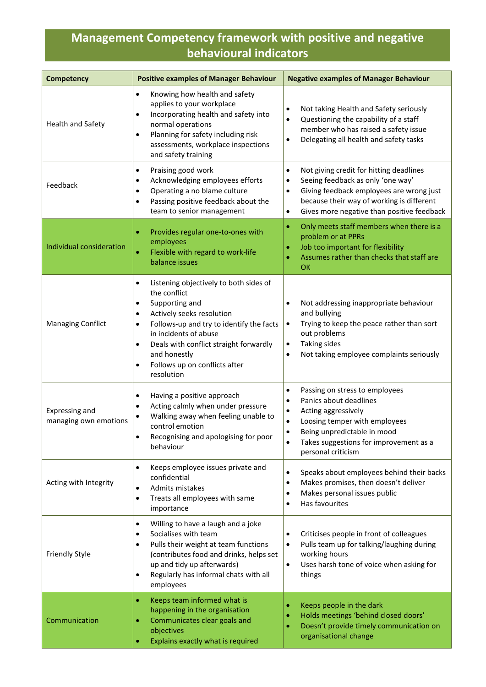## **Management Competency framework with positive and negative behavioural indicators**

| <b>Competency</b>                       | <b>Positive examples of Manager Behaviour</b>                                                                                                                                                                                                                                                                                                     | <b>Negative examples of Manager Behaviour</b>                                                                                                                                                                                                                                         |  |
|-----------------------------------------|---------------------------------------------------------------------------------------------------------------------------------------------------------------------------------------------------------------------------------------------------------------------------------------------------------------------------------------------------|---------------------------------------------------------------------------------------------------------------------------------------------------------------------------------------------------------------------------------------------------------------------------------------|--|
| <b>Health and Safety</b>                | Knowing how health and safety<br>٠<br>applies to your workplace<br>Incorporating health and safety into<br>٠<br>normal operations<br>Planning for safety including risk<br>$\bullet$<br>assessments, workplace inspections<br>and safety training                                                                                                 | Not taking Health and Safety seriously<br>$\bullet$<br>Questioning the capability of a staff<br>$\bullet$<br>member who has raised a safety issue<br>Delegating all health and safety tasks<br>$\bullet$                                                                              |  |
| Feedback                                | Praising good work<br>$\bullet$<br>Acknowledging employees efforts<br>٠<br>Operating a no blame culture<br>٠<br>Passing positive feedback about the<br>$\bullet$<br>team to senior management                                                                                                                                                     | Not giving credit for hitting deadlines<br>$\bullet$<br>Seeing feedback as only 'one way'<br>$\bullet$<br>Giving feedback employees are wrong just<br>$\bullet$<br>because their way of working is different<br>Gives more negative than positive feedback<br>٠                       |  |
| Individual consideration                | Provides regular one-to-ones with<br>۰<br>employees<br>Flexible with regard to work-life<br>$\bullet$<br>balance issues                                                                                                                                                                                                                           | Only meets staff members when there is a<br>$\bullet$<br>problem or at PPRs<br>Job too important for flexibility<br>$\bullet$<br>Assumes rather than checks that staff are<br>OK                                                                                                      |  |
| <b>Managing Conflict</b>                | Listening objectively to both sides of<br>$\bullet$<br>the conflict<br>Supporting and<br>٠<br>Actively seeks resolution<br>٠<br>Follows-up and try to identify the facts<br>$\bullet$<br>in incidents of abuse<br>Deals with conflict straight forwardly<br>$\bullet$<br>and honestly<br>Follows up on conflicts after<br>$\bullet$<br>resolution | Not addressing inappropriate behaviour<br>$\bullet$<br>and bullying<br>Trying to keep the peace rather than sort<br>$\bullet$<br>out problems<br><b>Taking sides</b><br>$\bullet$<br>Not taking employee complaints seriously<br>$\bullet$                                            |  |
| Expressing and<br>managing own emotions | Having a positive approach<br>٠<br>Acting calmly when under pressure<br>٠<br>Walking away when feeling unable to<br>control emotion<br>Recognising and apologising for poor<br>behaviour                                                                                                                                                          | Passing on stress to employees<br>$\bullet$<br>Panics about deadlines<br>$\bullet$<br>Acting aggressively<br>$\bullet$<br>Loosing temper with employees<br>٠<br>Being unpredictable in mood<br>$\bullet$<br>Takes suggestions for improvement as a<br>$\bullet$<br>personal criticism |  |
| Acting with Integrity                   | Keeps employee issues private and<br>٠<br>confidential<br>Admits mistakes<br>$\bullet$<br>Treats all employees with same<br>$\bullet$<br>importance                                                                                                                                                                                               | Speaks about employees behind their backs<br>$\bullet$<br>Makes promises, then doesn't deliver<br>$\bullet$<br>Makes personal issues public<br>$\bullet$<br>Has favourites<br>$\bullet$                                                                                               |  |
| <b>Friendly Style</b>                   | Willing to have a laugh and a joke<br>٠<br>Socialises with team<br>٠<br>Pulls their weight at team functions<br>٠<br>(contributes food and drinks, helps set<br>up and tidy up afterwards)<br>Regularly has informal chats with all<br>$\bullet$<br>employees                                                                                     | Criticises people in front of colleagues<br>Pulls team up for talking/laughing during<br>$\bullet$<br>working hours<br>Uses harsh tone of voice when asking for<br>$\bullet$<br>things                                                                                                |  |
| Communication                           | Keeps team informed what is<br>$\bullet$<br>happening in the organisation<br>Communicates clear goals and<br>$\bullet$<br>objectives<br>Explains exactly what is required                                                                                                                                                                         | Keeps people in the dark<br>$\bullet$<br>Holds meetings 'behind closed doors'<br>٠<br>Doesn't provide timely communication on<br>organisational change                                                                                                                                |  |